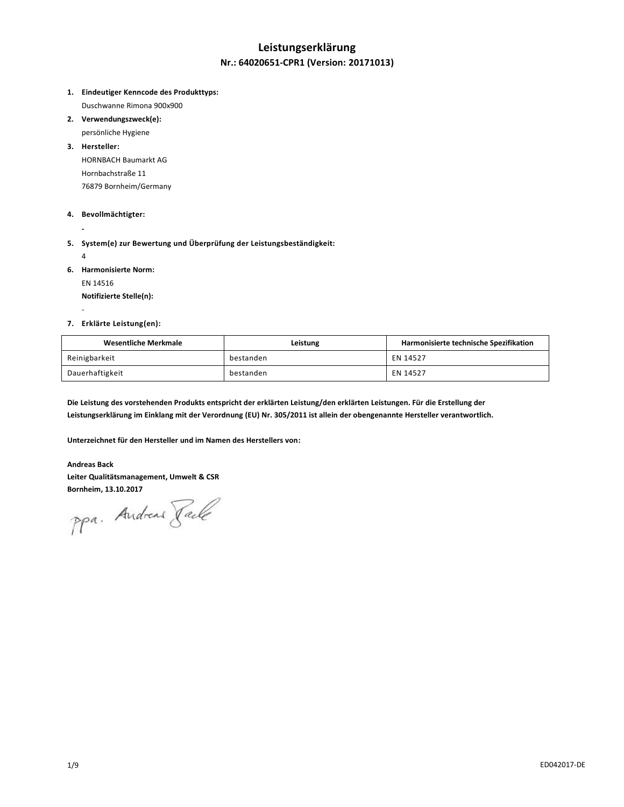# **Leistungserklärung Nr.: 64020651-CPR1 (Version: 20171013)**

- **1. Eindeutiger Kenncode des Produkttyps:** Duschwanne Rimona 900x900
- **2. Verwendungszweck(e):**
	- persönliche Hygiene
- **3. Hersteller:** HORNBACH Baumarkt AG Hornbachstraße 11 76879 Bornheim/Germany
- **4. Bevollmächtigter:**
- **5. System(e) zur Bewertung und Überprüfung der Leistungsbeständigkeit:**
	- 4

-

**-**

**6. Harmonisierte Norm:**

EN 14516

**Notifizierte Stelle(n):**

#### **7. Erklärte Leistung(en):**

| Wesentliche Merkmale | Leistung  | Harmonisierte technische Spezifikation |
|----------------------|-----------|----------------------------------------|
| Reinigbarkeit        | bestanden | EN 14527                               |
| Dauerhaftigkeit      | bestanden | EN 14527                               |

**Die Leistung des vorstehenden Produkts entspricht der erklärten Leistung/den erklärten Leistungen. Für die Erstellung der Leistungserklärung im Einklang mit der Verordnung (EU) Nr. 305/2011 ist allein der obengenannte Hersteller verantwortlich.**

**Unterzeichnet für den Hersteller und im Namen des Herstellers von:**

#### **Andreas Back**

**Leiter Qualitätsmanagement, Umwelt & CSR**

Bornheim, 13.10.2017<br>PPa. Andreas *Jale*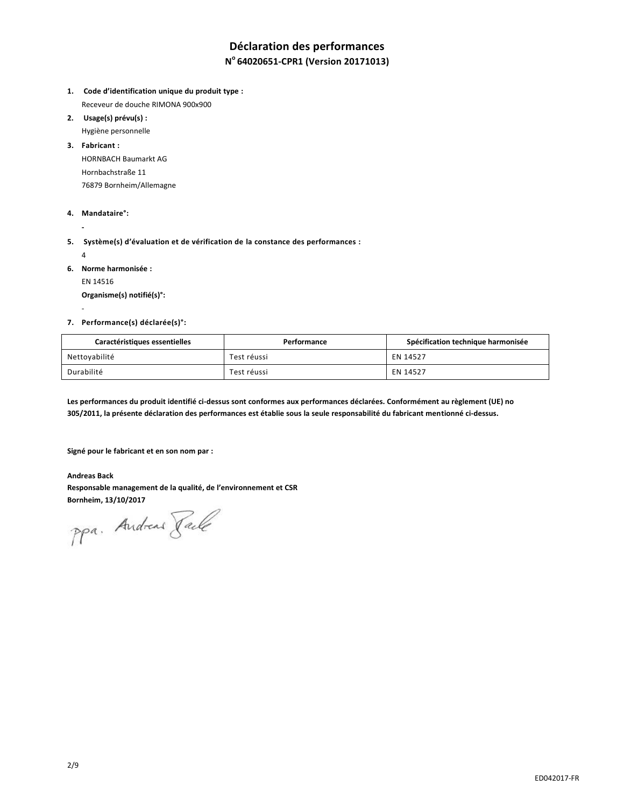# **Déclaration des performances**

## **N <sup>o</sup>64020651-CPR1 (Version 20171013)**

- **1. Code d'identification unique du produit type :** Receveur de douche RIMONA 900x900
- **2. Usage(s) prévu(s) :**

Hygiène personnelle **3. Fabricant :**

> HORNBACH Baumarkt AG Hornbachstraße 11 76879 Bornheim/Allemagne

#### **4. Mandataire°:**

**5. Système(s) d'évaluation et de vérification de la constance des performances :**

4

-

**-**

- **6. Norme harmonisée :**
	- EN 14516

**Organisme(s) notifié(s)°:**

#### **7. Performance(s) déclarée(s)°:**

| Caractéristiques essentielles | Performance | Spécification technique harmonisée |
|-------------------------------|-------------|------------------------------------|
| Nettoyabilité                 | Test réussi | EN 14527                           |
| Durabilité                    | Test réussi | EN 14527                           |

**Les performances du produit identifié ci-dessus sont conformes aux performances déclarées. Conformément au règlement (UE) no 305/2011, la présente déclaration des performances est établie sous la seule responsabilité du fabricant mentionné ci-dessus.**

**Signé pour le fabricant et en son nom par :**

**Andreas Back Responsable management de la qualité, de l'environnement et CSR Bornheim, 13/10/2017**

ppa. Andreas Face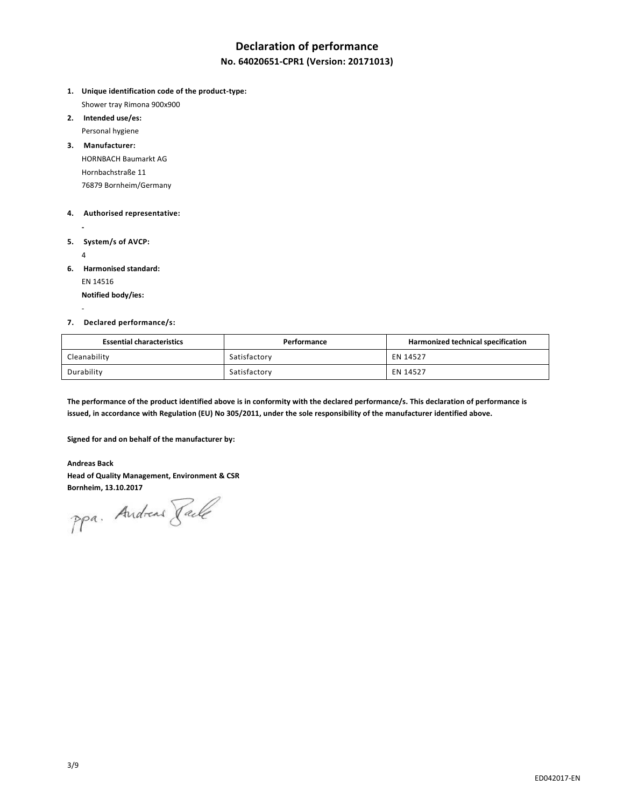## **Declaration of performance**

## **No. 64020651-CPR1 (Version: 20171013)**

- **1. Unique identification code of the product-type:** Shower tray Rimona 900x900
- **2. Intended use/es:** Personal hygiene
- **3. Manufacturer:** HORNBACH Baumarkt AG Hornbachstraße 11 76879 Bornheim/Germany

#### **4. Authorised representative:**

- **5. System/s of AVCP:**
	- 4

-

**-**

- **6. Harmonised standard:**
	- EN 14516

**Notified body/ies:**

### **7. Declared performance/s:**

| <b>Essential characteristics</b> | Performance  | Harmonized technical specification |
|----------------------------------|--------------|------------------------------------|
| Cleanability                     | Satisfactory | EN 14527                           |
| Durability                       | Satisfactory | EN 14527                           |

**The performance of the product identified above is in conformity with the declared performance/s. This declaration of performance is issued, in accordance with Regulation (EU) No 305/2011, under the sole responsibility of the manufacturer identified above.**

**Signed for and on behalf of the manufacturer by:**

### **Andreas Back**

**Head of Quality Management, Environment & CSR**

Bornheim, 13.10.2017<br>PPa. Andread *Jale*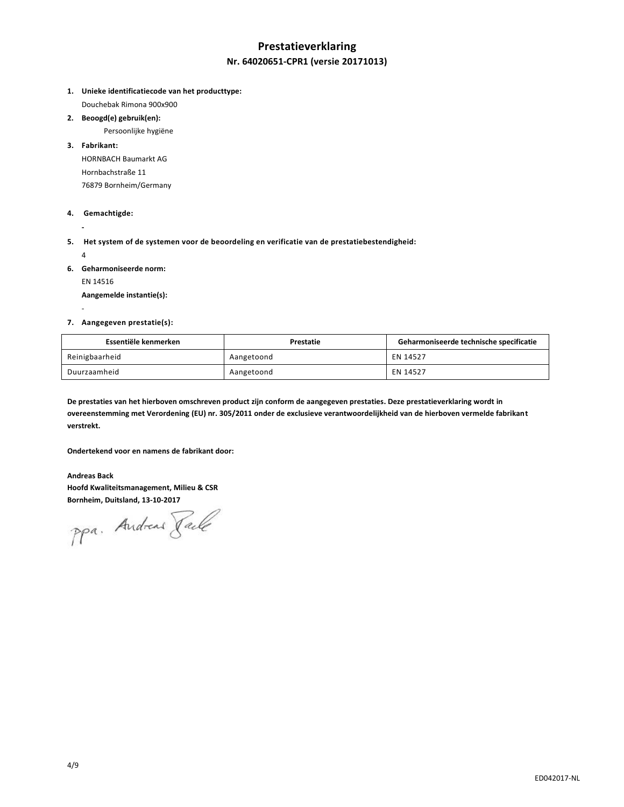# **Prestatieverklaring Nr. 64020651-CPR1 (versie 20171013)**

**1. Unieke identificatiecode van het producttype:**

Douchebak Rimona 900x900

#### **2. Beoogd(e) gebruik(en):**

Persoonlijke hygiëne

## **3. Fabrikant:**

HORNBACH Baumarkt AG Hornbachstraße 11 76879 Bornheim/Germany

#### **4. Gemachtigde:**

**5. Het system of de systemen voor de beoordeling en verificatie van de prestatiebestendigheid:** 

4

-

**-**

- **6. Geharmoniseerde norm:**
	- EN 14516

**Aangemelde instantie(s):**

#### **7. Aangegeven prestatie(s):**

| Essentiële kenmerken | Prestatie  | Geharmoniseerde technische specificatie |
|----------------------|------------|-----------------------------------------|
| Reinigbaarheid       | Aangetoond | EN 14527                                |
| Duurzaamheid         | Aangetoond | EN 14527                                |

**De prestaties van het hierboven omschreven product zijn conform de aangegeven prestaties. Deze prestatieverklaring wordt in overeenstemming met Verordening (EU) nr. 305/2011 onder de exclusieve verantwoordelijkheid van de hierboven vermelde fabrikant verstrekt.**

**Ondertekend voor en namens de fabrikant door:**

**Andreas Back Hoofd Kwaliteitsmanagement, Milieu & CSR Bornheim, Duitsland, 13-10-2017**

ppa. Andreas Faile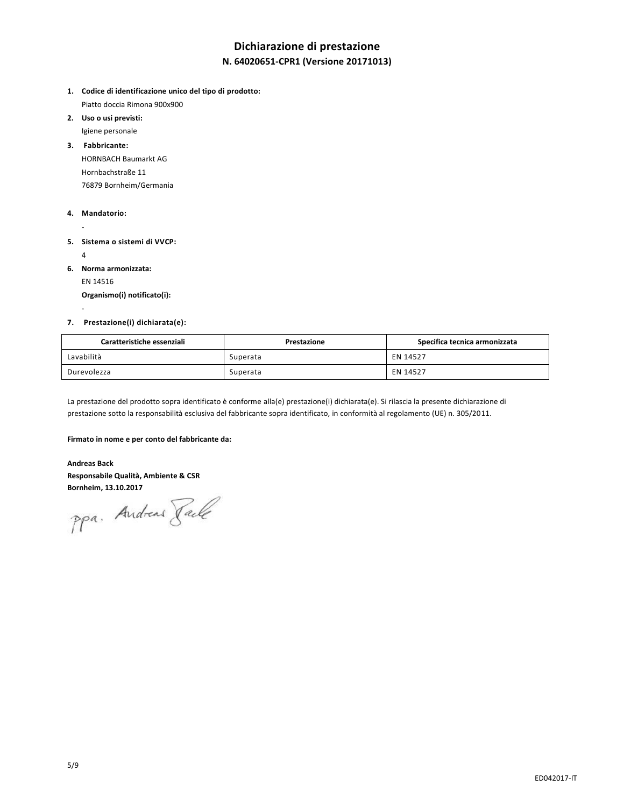# **Dichiarazione di prestazione**

## **N. 64020651-CPR1 (Versione 20171013)**

- **1. Codice di identificazione unico del tipo di prodotto:** Piatto doccia Rimona 900x900
- **2. Uso o usi previsti:** Igiene personale
- **3. Fabbricante:** HORNBACH Baumarkt AG
	- Hornbachstraße 11 76879 Bornheim/Germania

### **4. Mandatorio:**

- **- 5. Sistema o sistemi di VVCP:** 
	- 4

-

- **6. Norma armonizzata:**
	- EN 14516

**Organismo(i) notificato(i):**

### **7. Prestazione(i) dichiarata(e):**

| Caratteristiche essenziali | Prestazione | Specifica tecnica armonizzata |
|----------------------------|-------------|-------------------------------|
| Lavabilità                 | Superata    | EN 14527                      |
| Durevolezza                | Superata    | EN 14527                      |

La prestazione del prodotto sopra identificato è conforme alla(e) prestazione(i) dichiarata(e). Si rilascia la presente dichiarazione di prestazione sotto la responsabilità esclusiva del fabbricante sopra identificato, in conformità al regolamento (UE) n. 305/2011.

#### **Firmato in nome e per conto del fabbricante da:**

**Andreas Back Responsabile Qualità, Ambiente & CSR**

**Bornheim, 13.10.2017**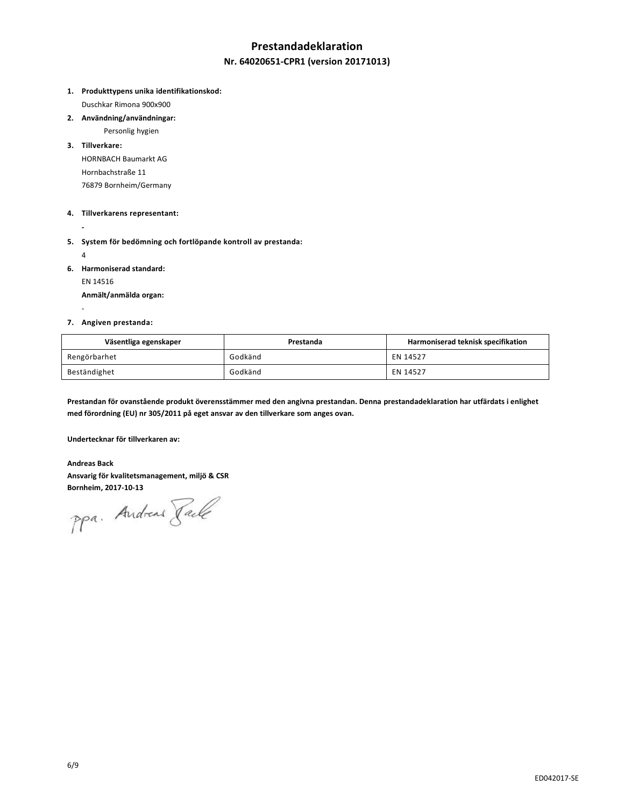## **Prestandadeklaration**

### **Nr. 64020651-CPR1 (version 20171013)**

**1. Produkttypens unika identifikationskod:**

Duschkar Rimona 900x900

**2. Användning/användningar:**

Personlig hygien

**3. Tillverkare:** HORNBACH Baumarkt AG Hornbachstraße 11

76879 Bornheim/Germany

### **4. Tillverkarens representant:**

**-**

**5. System för bedömning och fortlöpande kontroll av prestanda:**

4

-

**6. Harmoniserad standard:**

EN 14516

**Anmält/anmälda organ:**

#### **7. Angiven prestanda:**

| Väsentliga egenskaper | Prestanda | Harmoniserad teknisk specifikation |
|-----------------------|-----------|------------------------------------|
| Rengörbarhet          | Godkänd   | EN 14527                           |
| Beständighet          | Godkänd   | EN 14527                           |

**Prestandan för ovanstående produkt överensstämmer med den angivna prestandan. Denna prestandadeklaration har utfärdats i enlighet med förordning (EU) nr 305/2011 på eget ansvar av den tillverkare som anges ovan.**

**Undertecknar för tillverkaren av:**

**Andreas Back Ansvarig för kvalitetsmanagement, miljö & CSR**

**Bornheim, 2017-10-13**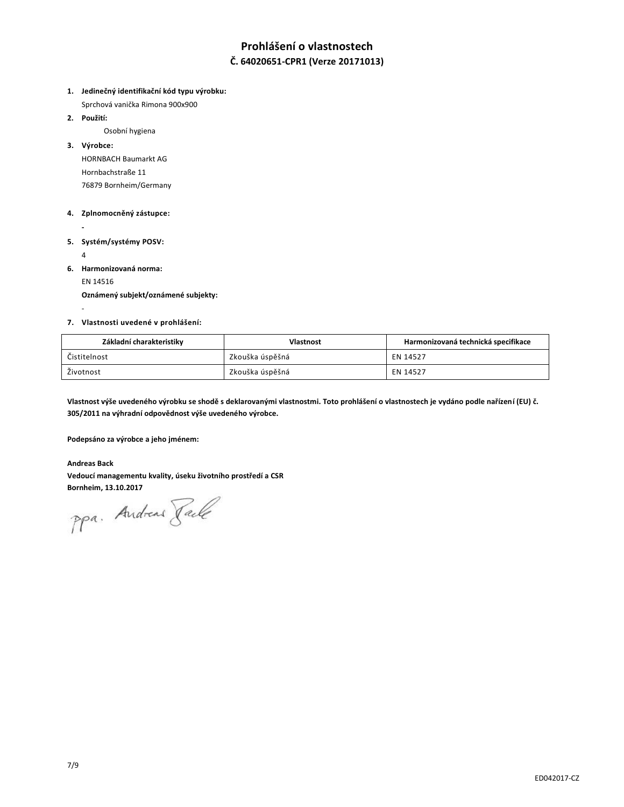# **Prohlášení o vlastnostech**

## **Č. 64020651-CPR1 (Verze 20171013)**

**1. Jedinečný identifikační kód typu výrobku:**

Sprchová vanička Rimona 900x900

**2. Použití:**

Osobní hygiena

**3. Výrobce:**

HORNBACH Baumarkt AG Hornbachstraße 11 76879 Bornheim/Germany

#### **4. Zplnomocněný zástupce:**

**- 5. Systém/systémy POSV:**

4

-

- **6. Harmonizovaná norma:**
	- EN 14516

**Oznámený subjekt/oznámené subjekty:**

#### **7. Vlastnosti uvedené v prohlášení:**

| Základní charakteristiky | <b>Vlastnost</b> | Harmonizovaná technická specifikace |
|--------------------------|------------------|-------------------------------------|
| Čistitelnost             | Zkouška úspěšná  | EN 14527                            |
| Životnost                | Zkouška úspěšná  | EN 14527                            |

**Vlastnost výše uvedeného výrobku se shodě s deklarovanými vlastnostmi. Toto prohlášení o vlastnostech je vydáno podle nařízení (EU) č. 305/2011 na výhradní odpovědnost výše uvedeného výrobce.**

**Podepsáno za výrobce a jeho jménem:**

#### **Andreas Back**

**Vedoucí managementu kvality, úseku životního prostředí a CSR**

Bornheim, 13.10.2017<br>PPa. Andread *Jale*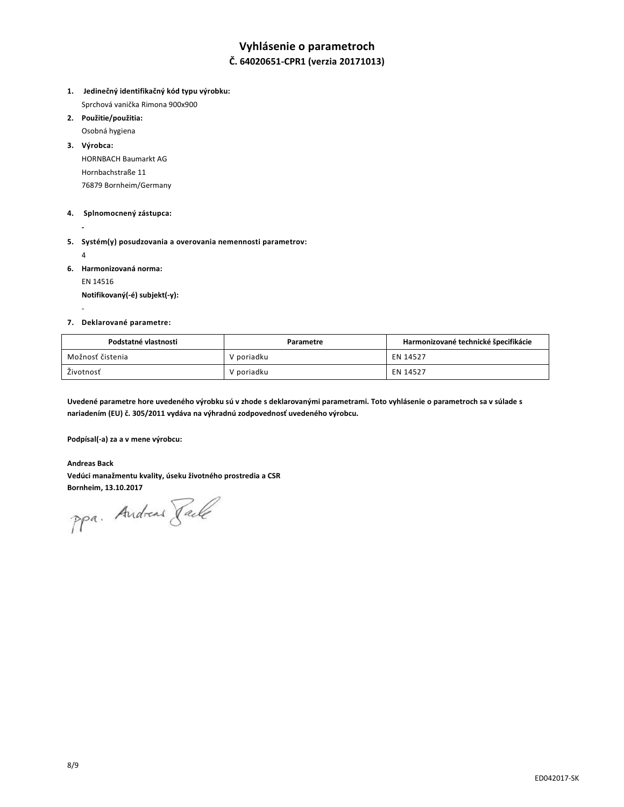## **Vyhlásenie o parametroch**

## **Č. 64020651-CPR1 (verzia 20171013)**

- **1. Jedinečný identifikačný kód typu výrobku:**  Sprchová vanička Rimona 900x900
- **2. Použitie/použitia:**
- Osobná hygiena **3. Výrobca:**

HORNBACH Baumarkt AG Hornbachstraße 11 76879 Bornheim/Germany

#### **4. Splnomocnený zástupca:**

**-**

**5. Systém(y) posudzovania a overovania nemennosti parametrov:** 

4

-

**6. Harmonizovaná norma:**

EN 14516

**Notifikovaný(-é) subjekt(-y):**

#### **7. Deklarované parametre:**

| Podstatné vlastnosti | Parametre  | Harmonizované technické špecifikácie |
|----------------------|------------|--------------------------------------|
| Možnosť čistenia     | V poriadku | EN 14527                             |
| Životnosť            | V poriadku | EN 14527                             |

**Uvedené parametre hore uvedeného výrobku sú v zhode s deklarovanými parametrami. Toto vyhlásenie o parametroch sa v súlade s nariadením (EU) č. 305/2011 vydáva na výhradnú zodpovednosť uvedeného výrobcu.**

**Podpísal(-a) za a v mene výrobcu:**

**Andreas Back Vedúci manažmentu kvality, úseku životného prostredia a CSR**

Bornheim, 13.10.2017<br>PPa. Andread *Jale*